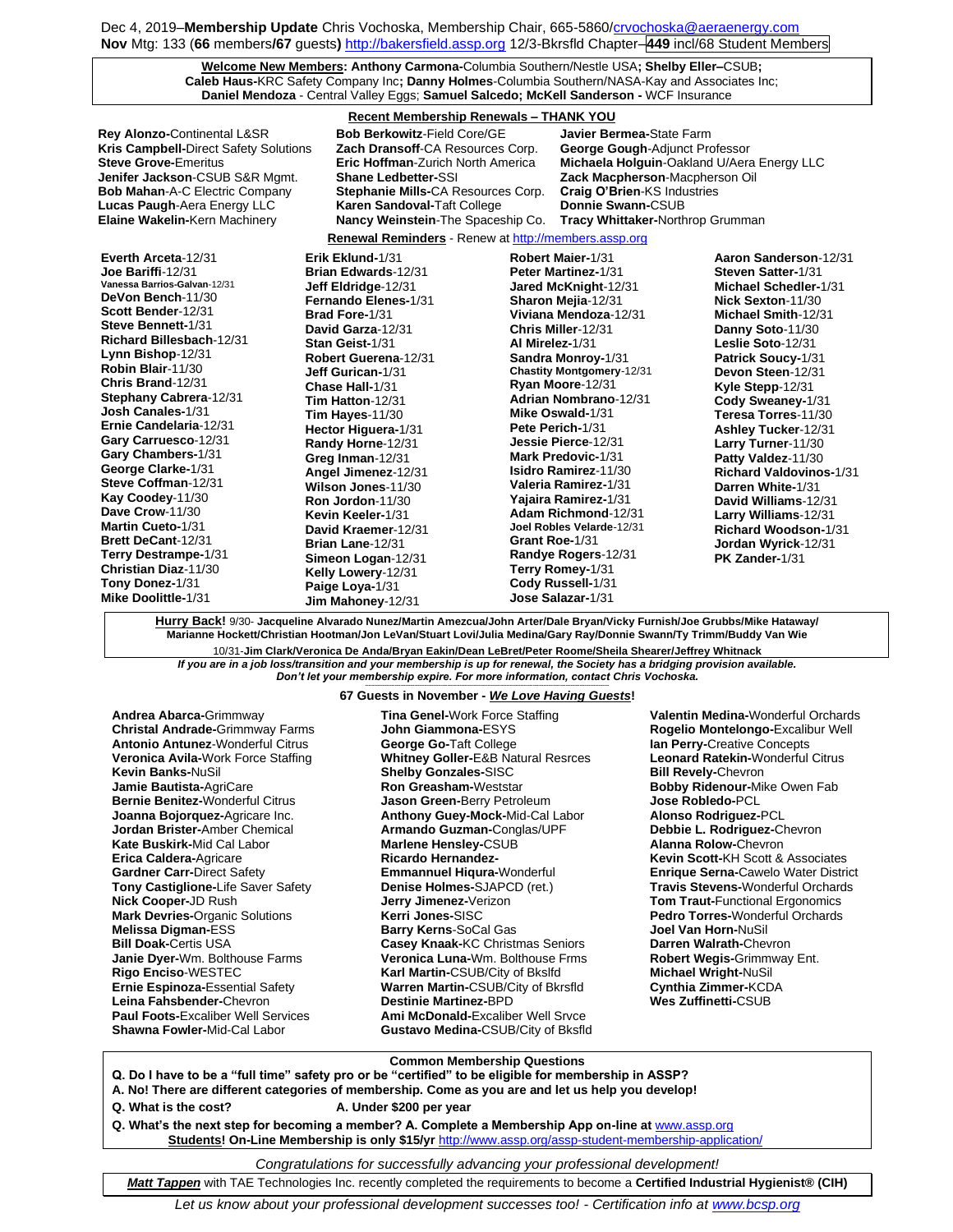Dec 4, 2019–**Membership Update** Chris Vochoska, Membership Chair, 665-5860[/crvochoska@aeraenergy.com](mailto:crvochoska@aeraenergy.com) **Nov** Mtg: 133 (**66** members**/67** guests**)** [http://bakersfield.assp.org](http://bakersfield.assp.org/) 12/3-Bkrsfld Chapter–**449** incl/68 Student Members

> **Welcome New Members: Anthony Carmona-**Columbia Southern/Nestle USA**; Shelby Eller–**CSUB**; Caleb Haus-**KRC Safety Company Inc**; Danny Holmes**-Columbia Southern/NASA-Kay and Associates Inc; **Daniel Mendoza** - Central Valley Eggs; **Samuel Salcedo; McKell Sanderson -** WCF Insurance

# **Recent Membership Renewals – THANK YOU**

| Recent Membership Renewals - Thann TOO                                                                                                                                                                                                                                                                                                                                                                                                                                                                                                                                                                           |                                                                                                                                                                                                                                                                                                                                                                                                                                                                                                                                              |                                                                                                                                                                                                                                                                                                                                                                                                                                                                                                                                                                                                       |                                                                                                                                                                                                                                                                                                                                                                                                                                                                                                                               |
|------------------------------------------------------------------------------------------------------------------------------------------------------------------------------------------------------------------------------------------------------------------------------------------------------------------------------------------------------------------------------------------------------------------------------------------------------------------------------------------------------------------------------------------------------------------------------------------------------------------|----------------------------------------------------------------------------------------------------------------------------------------------------------------------------------------------------------------------------------------------------------------------------------------------------------------------------------------------------------------------------------------------------------------------------------------------------------------------------------------------------------------------------------------------|-------------------------------------------------------------------------------------------------------------------------------------------------------------------------------------------------------------------------------------------------------------------------------------------------------------------------------------------------------------------------------------------------------------------------------------------------------------------------------------------------------------------------------------------------------------------------------------------------------|-------------------------------------------------------------------------------------------------------------------------------------------------------------------------------------------------------------------------------------------------------------------------------------------------------------------------------------------------------------------------------------------------------------------------------------------------------------------------------------------------------------------------------|
| <b>Rey Alonzo-Continental L&amp;SR</b><br>Kris Campbell-Direct Safety Solutions<br><b>Steve Grove-Emeritus</b><br>Jenifer Jackson-CSUB S&R Mgmt.<br><b>Bob Mahan-A-C Electric Company</b><br><b>Lucas Paugh-Aera Energy LLC</b><br><b>Elaine Wakelin-Kern Machinery</b>                                                                                                                                                                                                                                                                                                                                          | <b>Bob Berkowitz-Field Core/GE</b><br>Zach Dransoff-CA Resources Corp.<br><b>Eric Hoffman-Zurich North America</b><br><b>Shane Ledbetter-SSI</b><br>Stephanie Mills-CA Resources Corp.<br>Karen Sandoval-Taft College<br>Nancy Weinstein-The Spaceship Co.                                                                                                                                                                                                                                                                                   | Javier Bermea-State Farm<br><b>George Gough-Adjunct Professor</b><br>Zack Macpherson-Macpherson Oil<br><b>Craig O'Brien-KS Industries</b><br>Donnie Swann-CSUB<br><b>Tracy Whittaker-Northrop Grumman</b>                                                                                                                                                                                                                                                                                                                                                                                             | Michaela Holguin-Oakland U/Aera Energy LLC                                                                                                                                                                                                                                                                                                                                                                                                                                                                                    |
| <b>Renewal Reminders</b> - Renew at http://members.assp.org                                                                                                                                                                                                                                                                                                                                                                                                                                                                                                                                                      |                                                                                                                                                                                                                                                                                                                                                                                                                                                                                                                                              |                                                                                                                                                                                                                                                                                                                                                                                                                                                                                                                                                                                                       |                                                                                                                                                                                                                                                                                                                                                                                                                                                                                                                               |
| Everth Arceta-12/31<br>Joe Bariffi-12/31<br>Vanessa Barrios-Galvan-12/31<br>DeVon Bench-11/30<br>Scott Bender-12/31<br>Steve Bennett-1/31<br>Richard Billesbach-12/31<br>Lynn Bishop-12/31<br>Robin Blair-11/30<br>Chris Brand-12/31<br><b>Stephany Cabrera-12/31</b><br>Josh Canales-1/31<br>Ernie Candelaria-12/31<br>Gary Carruesco-12/31<br>Gary Chambers-1/31<br>George Clarke-1/31<br>Steve Coffman-12/31<br>Kay Coodey-11/30<br>Dave Crow-11/30<br><b>Martin Cueto-1/31</b><br><b>Brett DeCant-12/31</b><br>Terry Destrampe-1/31<br>Christian Diaz-11/30<br>Tony Donez-1/31<br><b>Mike Doolittle-1/31</b> | Erik Eklund-1/31<br>Brian Edwards-12/31<br>Jeff Eldridge-12/31<br>Fernando Elenes-1/31<br>Brad Fore-1/31<br>David Garza-12/31<br>Stan Geist-1/31<br>Robert Guerena-12/31<br>Jeff Gurican-1/31<br>Chase Hall-1/31<br>Tim Hatton-12/31<br>Tim Hayes-11/30<br>Hector Higuera-1/31<br>Randy Horne-12/31<br>Greg Inman-12/31<br>Angel Jimenez-12/31<br>Wilson Jones-11/30<br>Ron Jordon-11/30<br>Kevin Keeler-1/31<br>David Kraemer-12/31<br>Brian Lane-12/31<br>Simeon Logan-12/31<br>Kelly Lowery-12/31<br>Paige Loya-1/31<br>Jim Mahoney-12/31 | Robert Maier-1/31<br><b>Peter Martinez-1/31</b><br>Jared McKnight-12/31<br>Sharon Mejia-12/31<br>Viviana Mendoza-12/31<br>Chris Miller-12/31<br>Al Mirelez-1/31<br>Sandra Monroy-1/31<br><b>Chastity Montgomery-12/31</b><br>Ryan Moore-12/31<br>Adrian Nombrano-12/31<br>Mike Oswald-1/31<br>Pete Perich-1/31<br>Jessie Pierce-12/31<br><b>Mark Predovic-1/31</b><br>Isidro Ramirez-11/30<br>Valeria Ramirez-1/31<br>Yajaira Ramirez-1/31<br>Adam Richmond-12/31<br>Joel Robles Velarde-12/31<br>Grant Roe-1/31<br>Randye Rogers-12/31<br>Terry Romey-1/31<br>Cody Russell-1/31<br>Jose Salazar-1/31 | Aaron Sanderson-12/31<br>Steven Satter-1/31<br><b>Michael Schedler-1/31</b><br>Nick Sexton-11/30<br>Michael Smith-12/31<br>Danny Soto-11/30<br>Leslie Soto-12/31<br>Patrick Soucy-1/31<br>Devon Steen-12/31<br>Kyle Stepp-12/31<br>Cody Sweaney-1/31<br>Teresa Torres-11/30<br>Ashley Tucker-12/31<br>Larry Turner-11/30<br>Patty Valdez-11/30<br><b>Richard Valdovinos-1/31</b><br>Darren White-1/31<br>David Williams-12/31<br>Larry Williams-12/31<br><b>Richard Woodson-1/31</b><br>Jordan Wyrick-12/31<br>PK Zander-1/31 |

**Hurry Back!** 9/30- **Jacqueline Alvarado Nunez/Martin Amezcua/John Arter/Dale Bryan/Vicky Furnish/Joe Grubbs/Mike Hataway/ Marianne Hockett/Christian Hootman/Jon LeVan/Stuart Lovi/Julia Medina/Gary Ray/Donnie Swann/Ty Trimm/Buddy Van Wie**

10/31-**Jim Clark/Veronica De Anda/Bryan Eakin/Dean LeBret/Peter Roome/Sheila Shearer/Jeffrey Whitnack** *If you are in a job loss/transition and your membership is up for renewal, the Society has a bridging provision available. Don't let your membership expire. For more information, contact Chris Vochoska.* 

#### **------------------------------------------------------------------------------------------------------------------------------------------------------------- 67 Guests in November -** *We Love Having Guests***!**

**Andrea Abarca-**Grimmway **Christal Andrade-**Grimmway Farms **Antonio Antunez**-Wonderful Citrus **Veronica Avila-**Work Force Staffing **Kevin Banks-**NuSil **Jamie Bautista-**AgriCare **Bernie Benitez-**Wonderful Citrus **Joanna Bojorquez-**Agricare Inc. **Jordan Brister-**Amber Chemical **Kate Buskirk-**Mid Cal Labor **Erica Caldera-**Agricare **Gardner Carr-**Direct Safety **Tony Castiglione-**Life Saver Safety **Nick Cooper-**JD Rush **Mark Devries-**Organic Solutions **Melissa Digman-**ESS **Bill Doak-**Certis USA **Janie Dyer-**Wm. Bolthouse Farms **Rigo Enciso**-WESTEC **Ernie Espinoza-**Essential Safety **Leina Fahsbender-**Chevron **Paul Foots-**Excaliber Well Services **Shawna Fowler-**Mid-Cal Labor

**Tina Genel-**Work Force Staffing **John Giammona-**ESYS **George Go-**Taft College **Whitney Goller-**E&B Natural Resrces **Shelby Gonzales-**SISC **Ron Greasham-**Weststar **Jason Green-**Berry Petroleum **Anthony Guey-Mock-**Mid-Cal Labor **Armando Guzman-**Conglas/UPF **Marlene Hensley-**CSUB **Ricardo Hernandez-Emmannuel Hiqura-**Wonderful **Denise Holmes-**SJAPCD (ret.) **Jerry Jimenez-**Verizon **Kerri Jones-**SISC **Barry Kerns**-SoCal Gas **Casey Knaak-**KC Christmas Seniors **Veronica Luna-**Wm. Bolthouse Frms **Karl Martin-**CSUB/City of Bkslfd **Warren Martin-**CSUB/City of Bkrsfld **Destinie Martinez-**BPD **Ami McDonald-**Excaliber Well Srvce **Gustavo Medina-**CSUB/City of Bksfld

**Valentin Medina-**Wonderful Orchards **Rogelio Montelongo-**Excalibur Well **Ian Perry-**Creative Concepts **Leonard Ratekin-**Wonderful Citrus **Bill Revely-**Chevron **Bobby Ridenour-**Mike Owen Fab **Jose Robledo-**PCL **Alonso Rodriguez-**PCL **Debbie L. Rodriguez-**Chevron **Alanna Rolow-**Chevron **Kevin Scott-**KH Scott & Associates **Enrique Serna-**Cawelo Water District **Travis Stevens-**Wonderful Orchards **Tom Traut-**Functional Ergonomics **Pedro Torres-**Wonderful Orchards **Joel Van Horn-**NuSil **Darren Walrath-**Chevron **Robert Wegis-**Grimmway Ent. **Michael Wright-**NuSil **Cynthia Zimmer-**KCDA **Wes Zuffinetti-**CSUB

## **Common Membership Questions**

**Q. Do I have to be a "full time" safety pro or be "certified" to be eligible for membership in ASSP?** 

- **A. No! There are different categories of membership. Come as you are and let us help you develop!**
- **Q. What is the cost? A. Under \$200 per year**
- **Q. What's the next step for becoming a member? A. Complete a Membership App on-line at** [www.assp.org](http://www.assp.org/) **Students! On-Line Membership is only \$15/yr** <http://www.assp.org/assp-student-membership-application/>

*Congratulations for successfully advancing your professional development!*

*Matt Tappen* with TAE Technologies Inc. recently completed the requirements to become a **Certified Industrial Hygienist® (CIH)** 

*Let us know about your professional development successes too! - Certification info a[t www.bcsp.org](http://www.bcsp.org/)*